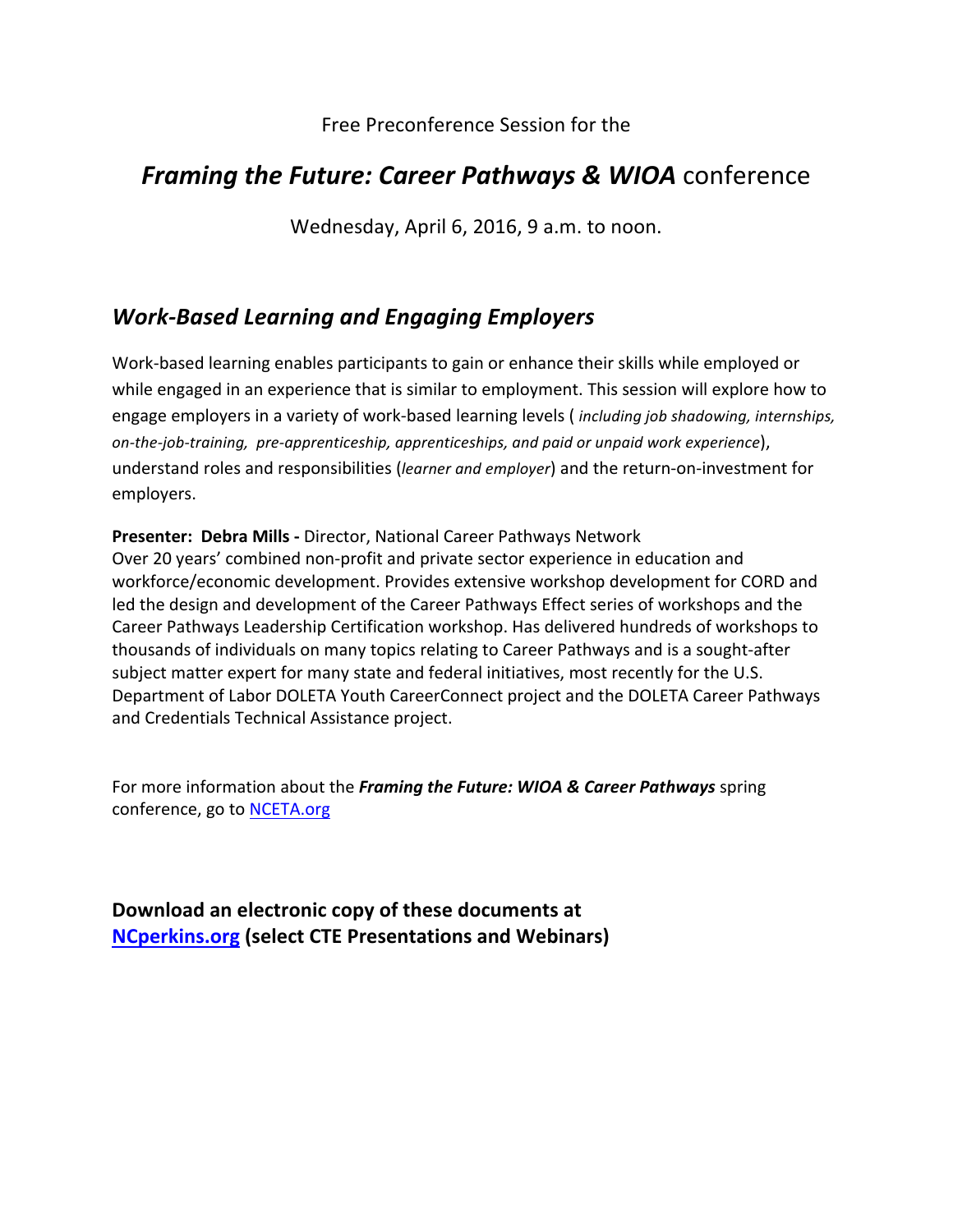### Free Preconference Session for the

# *Framing the Future: Career Pathways & WIOA conference*

Wednesday, April 6, 2016, 9 a.m. to noon.

# *Work-Based Learning and Engaging Employers*

Work-based learning enables participants to gain or enhance their skills while employed or while engaged in an experience that is similar to employment. This session will explore how to engage employers in a variety of work-based learning levels (*including job shadowing, internships, on-the-job-training, pre-apprenticeship, apprenticeships, and paid or unpaid work experience*), understand roles and responsibilities (*learner and employer*) and the return-on-investment for employers.

**Presenter: Debra Mills - Director, National Career Pathways Network** Over 20 years' combined non-profit and private sector experience in education and workforce/economic development. Provides extensive workshop development for CORD and led the design and development of the Career Pathways Effect series of workshops and the Career Pathways Leadership Certification workshop. Has delivered hundreds of workshops to thousands of individuals on many topics relating to Career Pathways and is a sought-after subject matter expert for many state and federal initiatives, most recently for the U.S. Department of Labor DOLETA Youth CareerConnect project and the DOLETA Career Pathways and Credentials Technical Assistance project.

For more information about the *Framing the Future:* WIOA & Career Pathways spring conference, go to NCETA.org

Download an electronic copy of these documents at **NCperkins.org (select CTE Presentations and Webinars)**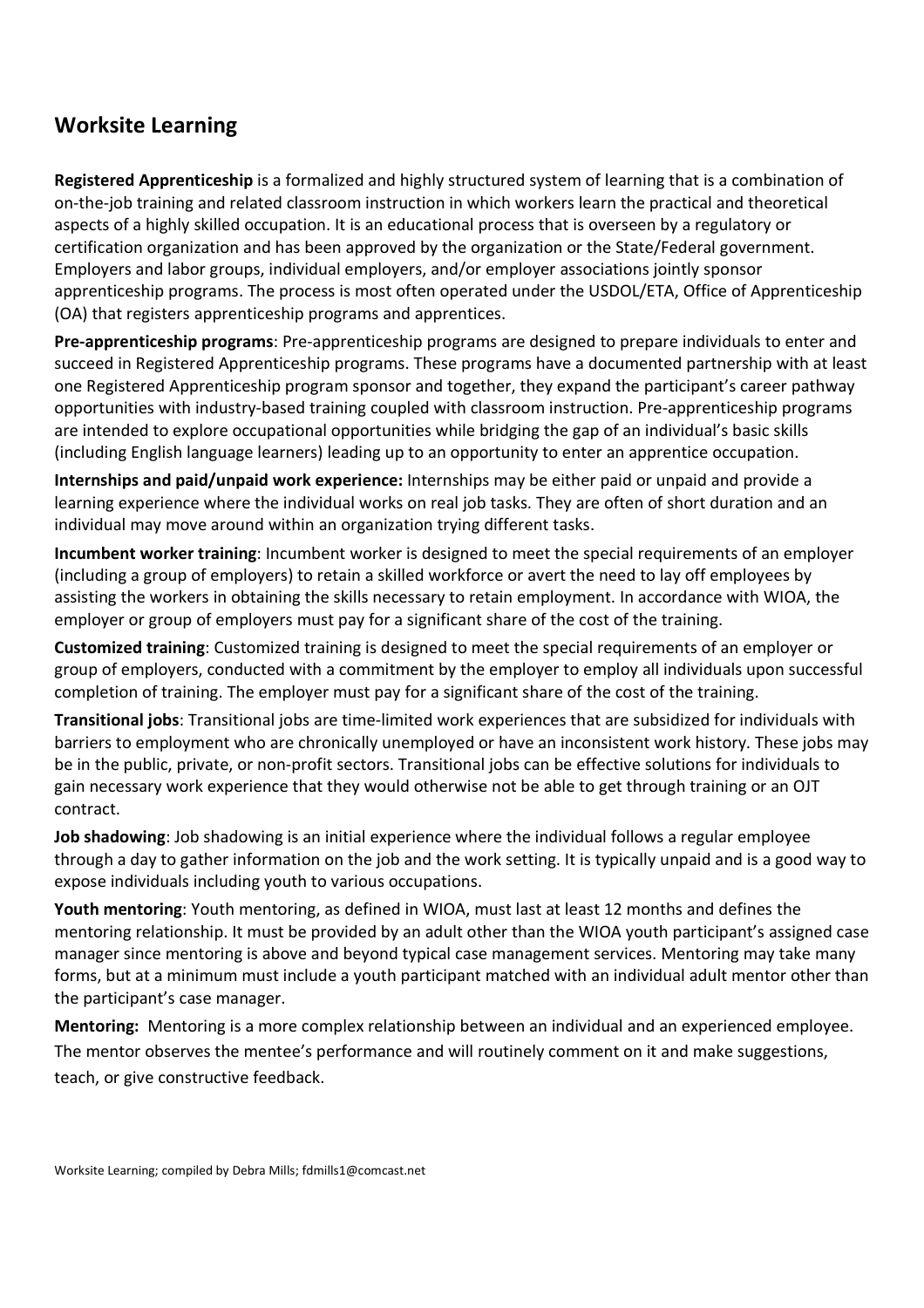# **Worksite Learning**

**Registered Apprenticeship** is a formalized and highly structured system of learning that is a combination of on-the-job training and related classroom instruction in which workers learn the practical and theoretical aspects of a highly skilled occupation. It is an educational process that is overseen by a regulatory or certification organization and has been approved by the organization or the State/Federal government. Employers and labor groups, individual employers, and/or employer associations jointly sponsor apprenticeship programs. The process is most often operated under the USDOL/ETA, Office of Apprenticeship (OA) that registers apprenticeship programs and apprentices.

**Pre-apprenticeship programs**: Pre-apprenticeship programs are designed to prepare individuals to enter and succeed in Registered Apprenticeship programs. These programs have a documented partnership with at least one Registered Apprenticeship program sponsor and together, they expand the participant's career pathway opportunities with industry-based training coupled with classroom instruction. Pre-apprenticeship programs are intended to explore occupational opportunities while bridging the gap of an individual's basic skills (including English language learners) leading up to an opportunity to enter an apprentice occupation.

**Internships and paid/unpaid work experience:** Internships may be either paid or unpaid and provide a learning experience where the individual works on real job tasks. They are often of short duration and an individual may move around within an organization trying different tasks.

**Incumbent worker training**: Incumbent worker is designed to meet the special requirements of an employer (including a group of employers) to retain a skilled workforce or avert the need to lay off employees by assisting the workers in obtaining the skills necessary to retain employment. In accordance with WIOA, the employer or group of employers must pay for a significant share of the cost of the training.

**Customized training**: Customized training is designed to meet the special requirements of an employer or group of employers, conducted with a commitment by the employer to employ all individuals upon successful completion of training. The employer must pay for a significant share of the cost of the training.

**Transitional jobs**: Transitional jobs are time-limited work experiences that are subsidized for individuals with barriers to employment who are chronically unemployed or have an inconsistent work history. These jobs may be in the public, private, or non-profit sectors. Transitional jobs can be effective solutions for individuals to gain necessary work experience that they would otherwise not be able to get through training or an OJT contract.

**Job shadowing**: Job shadowing is an initial experience where the individual follows a regular employee through a day to gather information on the job and the work setting. It is typically unpaid and is a good way to expose individuals including youth to various occupations.

**Youth mentoring**: Youth mentoring, as defined in WIOA, must last at least 12 months and defines the mentoring relationship. It must be provided by an adult other than the WIOA youth participant's assigned case manager since mentoring is above and beyond typical case management services. Mentoring may take many forms, but at a minimum must include a youth participant matched with an individual adult mentor other than the participant's case manager.

**Mentoring:** Mentoring is a more complex relationship between an individual and an experienced employee. The mentor observes the mentee's performance and will routinely comment on it and make suggestions, teach, or give constructive feedback.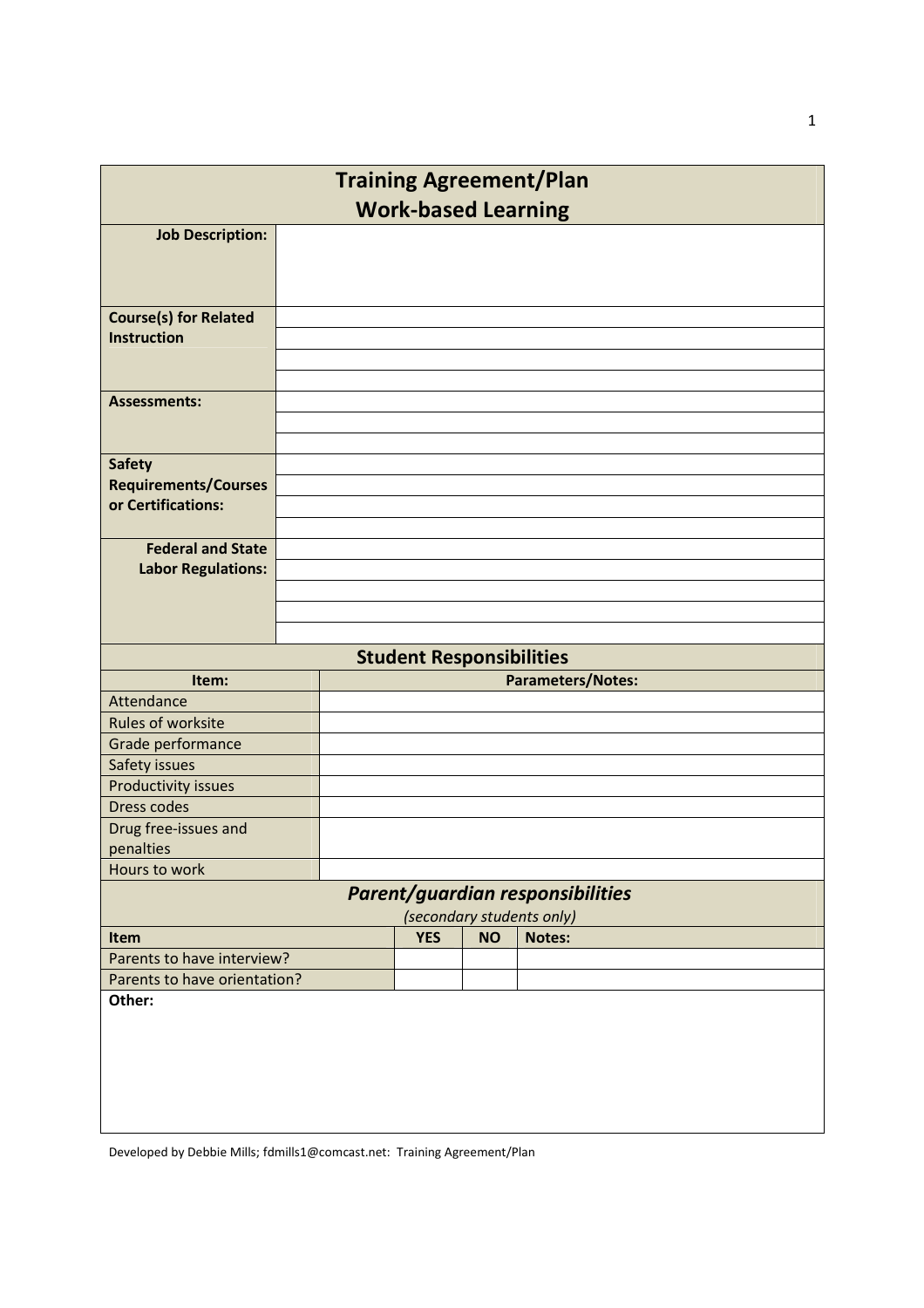| <b>Training Agreement/Plan</b>                    |                          |                                 |           |               |  |  |
|---------------------------------------------------|--------------------------|---------------------------------|-----------|---------------|--|--|
| <b>Work-based Learning</b>                        |                          |                                 |           |               |  |  |
| <b>Job Description:</b>                           |                          |                                 |           |               |  |  |
|                                                   |                          |                                 |           |               |  |  |
|                                                   |                          |                                 |           |               |  |  |
| <b>Course(s) for Related</b>                      |                          |                                 |           |               |  |  |
| <b>Instruction</b>                                |                          |                                 |           |               |  |  |
|                                                   |                          |                                 |           |               |  |  |
|                                                   |                          |                                 |           |               |  |  |
| <b>Assessments:</b>                               |                          |                                 |           |               |  |  |
|                                                   |                          |                                 |           |               |  |  |
|                                                   |                          |                                 |           |               |  |  |
| <b>Safety</b>                                     |                          |                                 |           |               |  |  |
| <b>Requirements/Courses</b><br>or Certifications: |                          |                                 |           |               |  |  |
|                                                   |                          |                                 |           |               |  |  |
| <b>Federal and State</b>                          |                          |                                 |           |               |  |  |
| <b>Labor Regulations:</b>                         |                          |                                 |           |               |  |  |
|                                                   |                          |                                 |           |               |  |  |
|                                                   |                          |                                 |           |               |  |  |
|                                                   |                          |                                 |           |               |  |  |
|                                                   |                          | <b>Student Responsibilities</b> |           |               |  |  |
| Item:                                             | <b>Parameters/Notes:</b> |                                 |           |               |  |  |
| Attendance                                        |                          |                                 |           |               |  |  |
| Rules of worksite                                 |                          |                                 |           |               |  |  |
| Grade performance                                 |                          |                                 |           |               |  |  |
| Safety issues<br>Productivity issues              |                          |                                 |           |               |  |  |
| <b>Dress codes</b>                                |                          |                                 |           |               |  |  |
| Drug free-issues and                              |                          |                                 |           |               |  |  |
| penalties                                         |                          |                                 |           |               |  |  |
| Hours to work                                     |                          |                                 |           |               |  |  |
| Parent/guardian responsibilities                  |                          |                                 |           |               |  |  |
| (secondary students only)                         |                          |                                 |           |               |  |  |
| Item                                              |                          | <b>YES</b>                      | <b>NO</b> | <b>Notes:</b> |  |  |
| Parents to have interview?                        |                          |                                 |           |               |  |  |
| Parents to have orientation?                      |                          |                                 |           |               |  |  |
| Other:                                            |                          |                                 |           |               |  |  |
|                                                   |                          |                                 |           |               |  |  |
|                                                   |                          |                                 |           |               |  |  |
|                                                   |                          |                                 |           |               |  |  |
|                                                   |                          |                                 |           |               |  |  |
|                                                   |                          |                                 |           |               |  |  |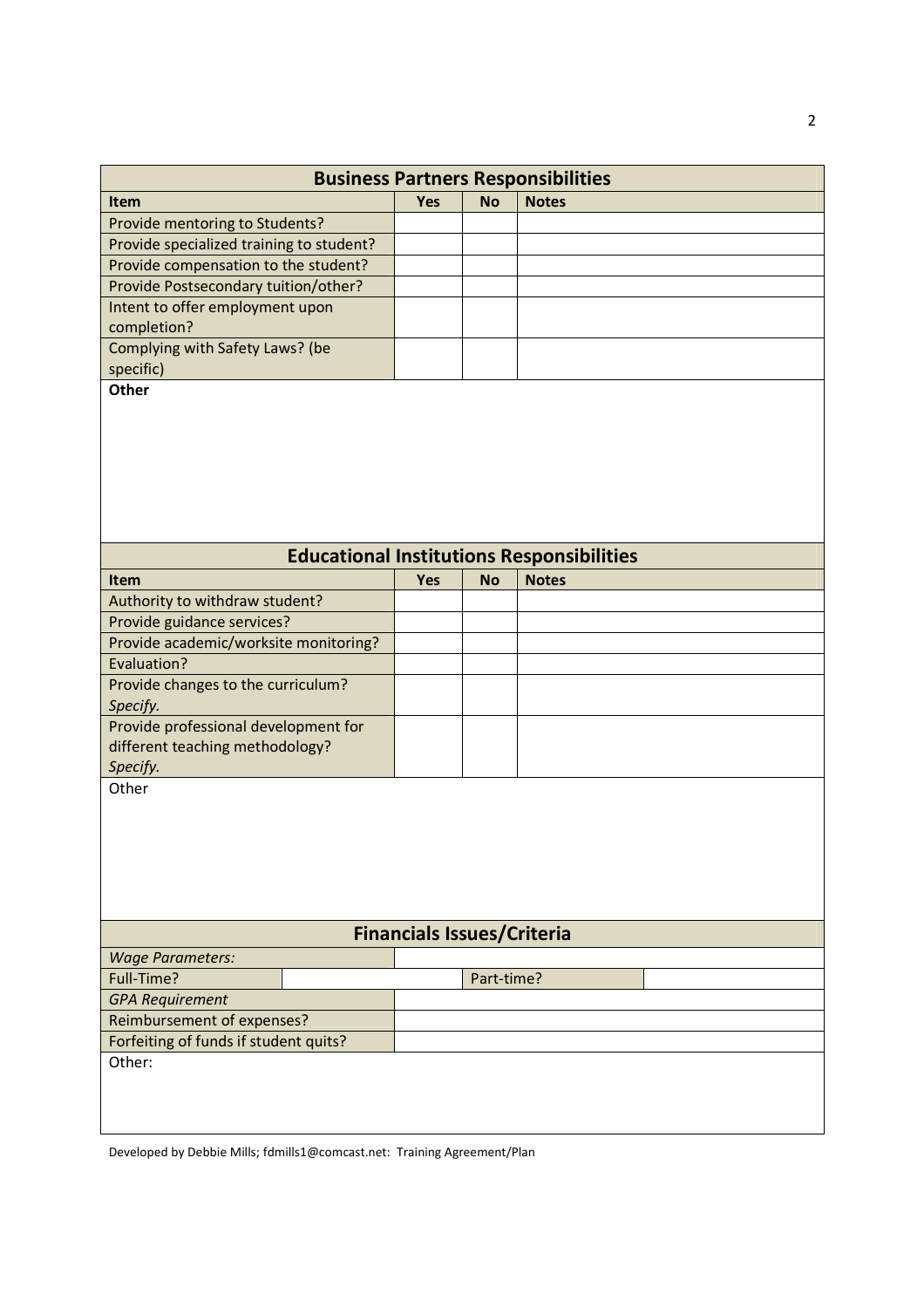| <b>Business Partners Responsibilities</b>        |            |            |              |  |  |
|--------------------------------------------------|------------|------------|--------------|--|--|
| Item                                             | Yes        | <b>No</b>  | <b>Notes</b> |  |  |
| Provide mentoring to Students?                   |            |            |              |  |  |
| Provide specialized training to student?         |            |            |              |  |  |
| Provide compensation to the student?             |            |            |              |  |  |
| Provide Postsecondary tuition/other?             |            |            |              |  |  |
| Intent to offer employment upon                  |            |            |              |  |  |
| completion?                                      |            |            |              |  |  |
| Complying with Safety Laws? (be                  |            |            |              |  |  |
| specific)<br><b>Other</b>                        |            |            |              |  |  |
| <b>Educational Institutions Responsibilities</b> |            |            |              |  |  |
|                                                  |            |            |              |  |  |
| <b>Item</b><br>Authority to withdraw student?    | <b>Yes</b> | <b>No</b>  | <b>Notes</b> |  |  |
| Provide guidance services?                       |            |            |              |  |  |
| Provide academic/worksite monitoring?            |            |            |              |  |  |
| Evaluation?                                      |            |            |              |  |  |
| Provide changes to the curriculum?               |            |            |              |  |  |
| Specify.                                         |            |            |              |  |  |
| Provide professional development for             |            |            |              |  |  |
| different teaching methodology?                  |            |            |              |  |  |
| Specify.                                         |            |            |              |  |  |
| Other                                            |            |            |              |  |  |
| <b>Financials Issues/Criteria</b>                |            |            |              |  |  |
| <b>Wage Parameters:</b>                          |            |            |              |  |  |
| Full-Time?                                       |            | Part-time? |              |  |  |
| <b>GPA Requirement</b>                           |            |            |              |  |  |
| Reimbursement of expenses?                       |            |            |              |  |  |
| Forfeiting of funds if student quits?            |            |            |              |  |  |
| Other:                                           |            |            |              |  |  |
|                                                  |            |            |              |  |  |
|                                                  |            |            |              |  |  |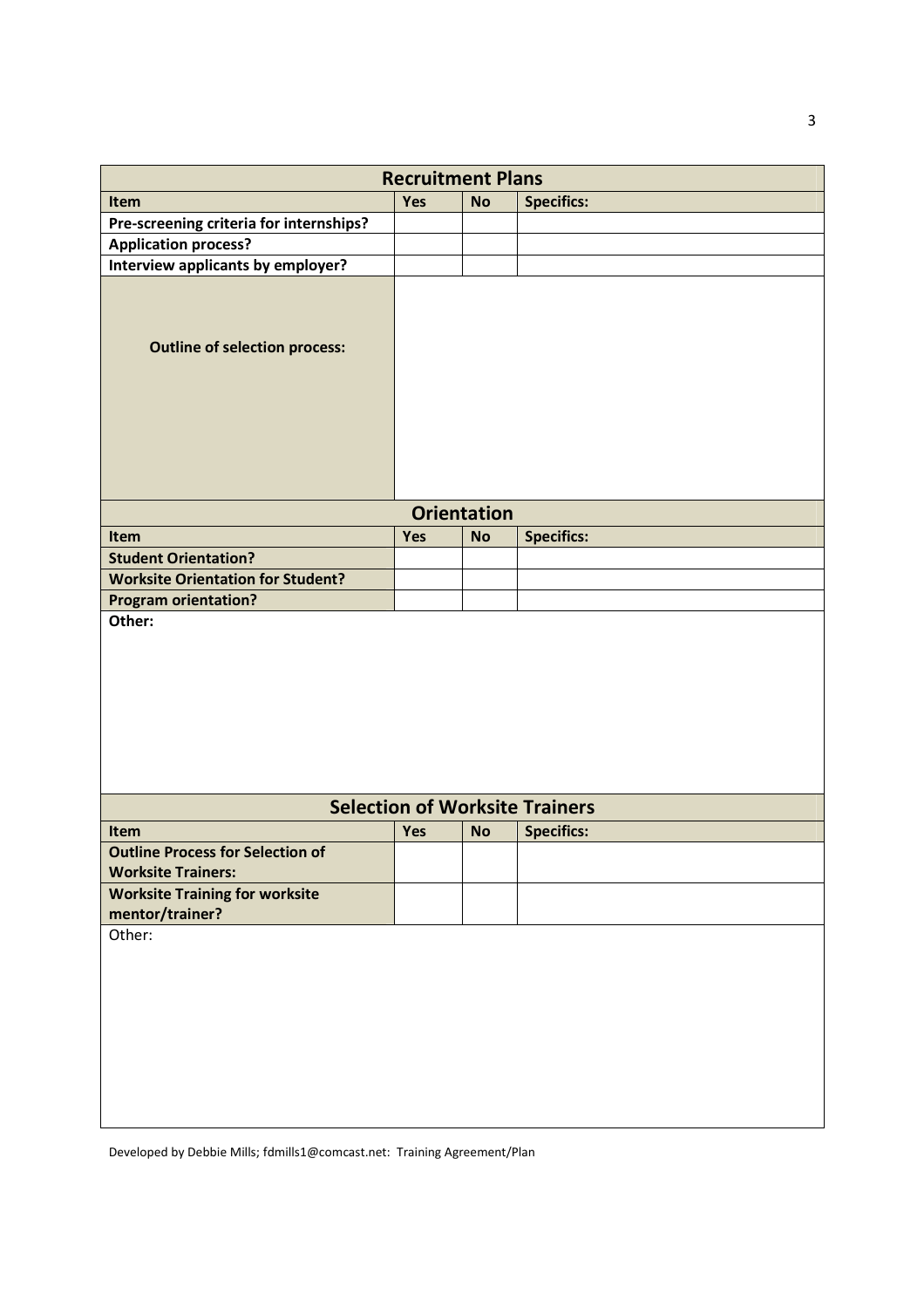| <b>Recruitment Plans</b>                                             |     |                    |                                       |  |  |
|----------------------------------------------------------------------|-----|--------------------|---------------------------------------|--|--|
| Item                                                                 | Yes | <b>No</b>          | <b>Specifics:</b>                     |  |  |
| Pre-screening criteria for internships?                              |     |                    |                                       |  |  |
| <b>Application process?</b>                                          |     |                    |                                       |  |  |
| Interview applicants by employer?                                    |     |                    |                                       |  |  |
| <b>Outline of selection process:</b>                                 |     |                    |                                       |  |  |
|                                                                      |     | <b>Orientation</b> |                                       |  |  |
| Item                                                                 | Yes | <b>No</b>          | <b>Specifics:</b>                     |  |  |
| <b>Student Orientation?</b>                                          |     |                    |                                       |  |  |
| <b>Worksite Orientation for Student?</b>                             |     |                    |                                       |  |  |
| <b>Program orientation?</b>                                          |     |                    |                                       |  |  |
|                                                                      |     |                    |                                       |  |  |
|                                                                      |     |                    | <b>Selection of Worksite Trainers</b> |  |  |
| Item                                                                 | Yes | <b>No</b>          | <b>Specifics:</b>                     |  |  |
| <b>Outline Process for Selection of</b><br><b>Worksite Trainers:</b> |     |                    |                                       |  |  |
| <b>Worksite Training for worksite</b><br>mentor/trainer?             |     |                    |                                       |  |  |
| Other:                                                               |     |                    |                                       |  |  |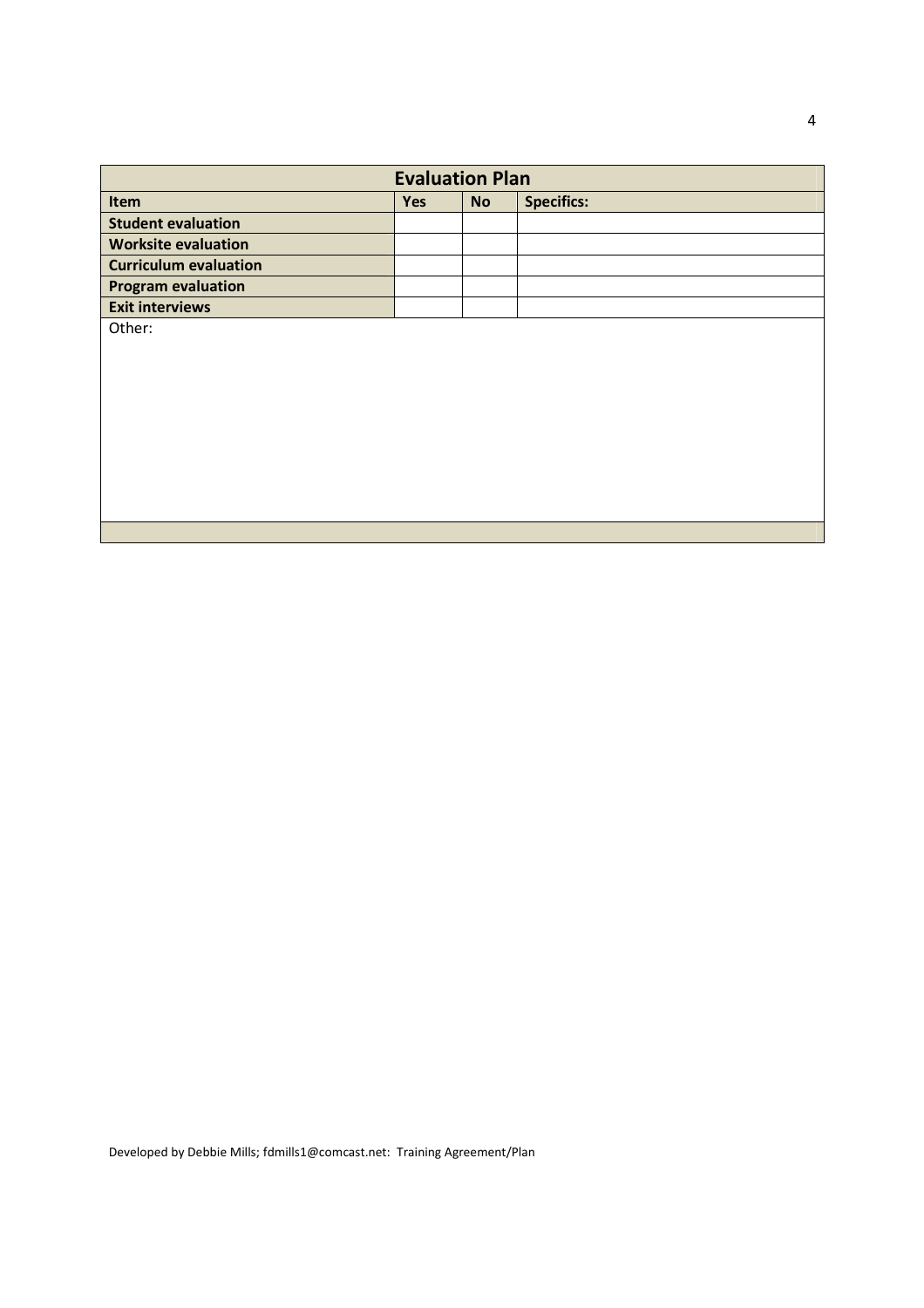| <b>Evaluation Plan</b>       |            |           |                   |  |  |
|------------------------------|------------|-----------|-------------------|--|--|
| Item                         | <b>Yes</b> | <b>No</b> | <b>Specifics:</b> |  |  |
| <b>Student evaluation</b>    |            |           |                   |  |  |
| <b>Worksite evaluation</b>   |            |           |                   |  |  |
| <b>Curriculum evaluation</b> |            |           |                   |  |  |
| <b>Program evaluation</b>    |            |           |                   |  |  |
| <b>Exit interviews</b>       |            |           |                   |  |  |
| Other:                       |            |           |                   |  |  |
|                              |            |           |                   |  |  |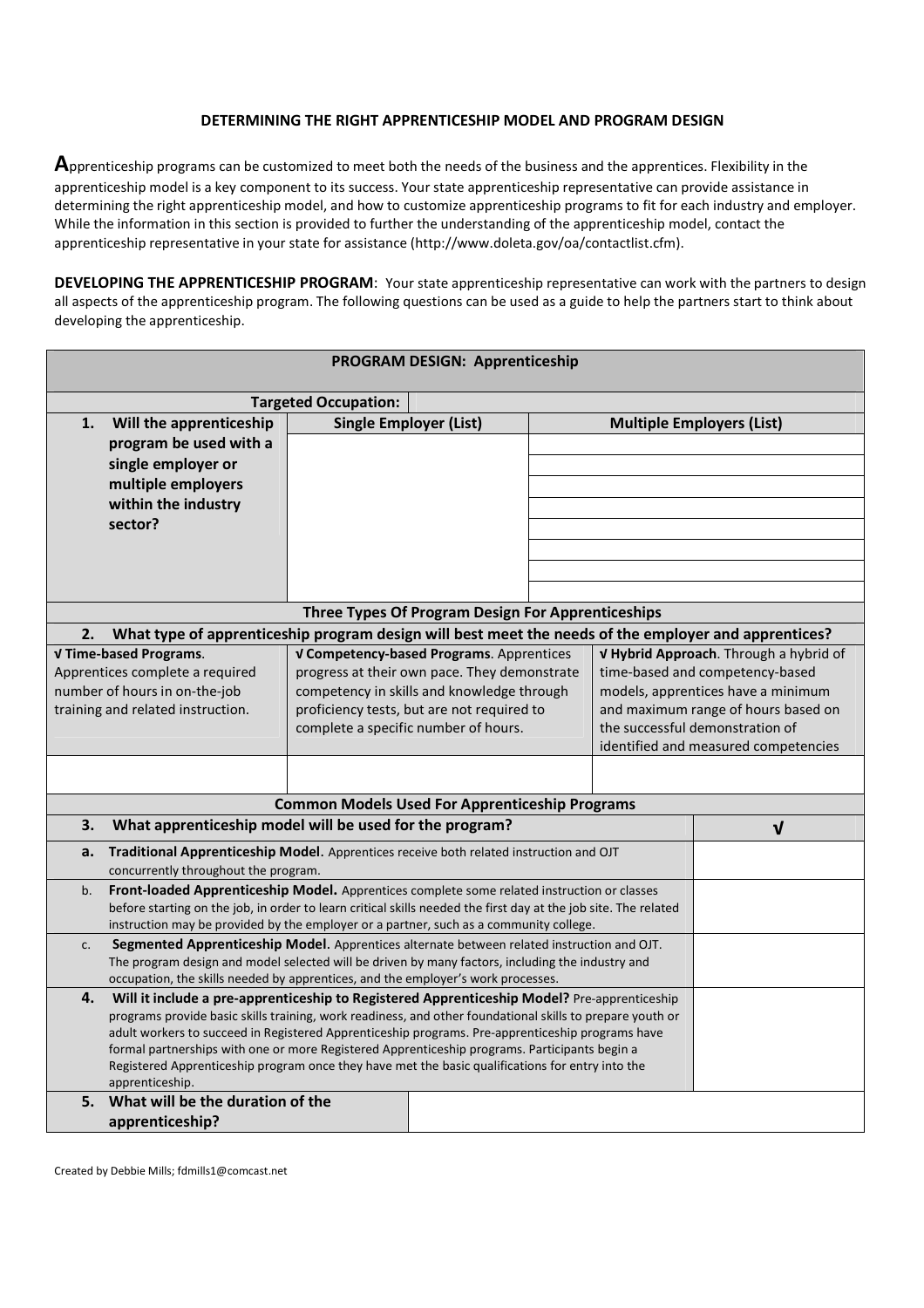#### **DETERMINING THE RIGHT APPRENTICESHIP MODEL AND PROGRAM DESIGN**

**A**pprenticeship programs can be customized to meet both the needs of the business and the apprentices. Flexibility in the apprenticeship model is a key component to its success. Your state apprenticeship representative can provide assistance in determining the right apprenticeship model, and how to customize apprenticeship programs to fit for each industry and employer. While the information in this section is provided to further the understanding of the apprenticeship model, contact the apprenticeship representative in your state for assistance (http://www.doleta.gov/oa/contactlist.cfm).

**DEVELOPING THE APPRENTICESHIP PROGRAM:** Your state apprenticeship representative can work with the partners to design all aspects of the apprenticeship program. The following questions can be used as a guide to help the partners start to think about developing the apprenticeship.

| PROGRAM DESIGN: Apprenticeship                                                                                                                                                                    |                                                                                                                                                                                      |                                              |  |                                      |                                        |  |  |
|---------------------------------------------------------------------------------------------------------------------------------------------------------------------------------------------------|--------------------------------------------------------------------------------------------------------------------------------------------------------------------------------------|----------------------------------------------|--|--------------------------------------|----------------------------------------|--|--|
| <b>Targeted Occupation:</b>                                                                                                                                                                       |                                                                                                                                                                                      |                                              |  |                                      |                                        |  |  |
| Will the apprenticeship<br>1.                                                                                                                                                                     | <b>Single Employer (List)</b>                                                                                                                                                        |                                              |  |                                      | <b>Multiple Employers (List)</b>       |  |  |
| program be used with a                                                                                                                                                                            |                                                                                                                                                                                      |                                              |  |                                      |                                        |  |  |
| single employer or                                                                                                                                                                                |                                                                                                                                                                                      |                                              |  |                                      |                                        |  |  |
| multiple employers                                                                                                                                                                                |                                                                                                                                                                                      |                                              |  |                                      |                                        |  |  |
| within the industry                                                                                                                                                                               |                                                                                                                                                                                      |                                              |  |                                      |                                        |  |  |
| sector?                                                                                                                                                                                           |                                                                                                                                                                                      |                                              |  |                                      |                                        |  |  |
|                                                                                                                                                                                                   |                                                                                                                                                                                      |                                              |  |                                      |                                        |  |  |
|                                                                                                                                                                                                   |                                                                                                                                                                                      |                                              |  |                                      |                                        |  |  |
|                                                                                                                                                                                                   |                                                                                                                                                                                      |                                              |  |                                      |                                        |  |  |
| Three Types Of Program Design For Apprenticeships                                                                                                                                                 |                                                                                                                                                                                      |                                              |  |                                      |                                        |  |  |
| What type of apprenticeship program design will best meet the needs of the employer and apprentices?<br>2.                                                                                        |                                                                                                                                                                                      |                                              |  |                                      |                                        |  |  |
| V Time-based Programs.                                                                                                                                                                            |                                                                                                                                                                                      | V Competency-based Programs. Apprentices     |  |                                      | V Hybrid Approach. Through a hybrid of |  |  |
| Apprentices complete a required                                                                                                                                                                   |                                                                                                                                                                                      | progress at their own pace. They demonstrate |  | time-based and competency-based      |                                        |  |  |
| number of hours in on-the-job                                                                                                                                                                     |                                                                                                                                                                                      | competency in skills and knowledge through   |  |                                      | models, apprentices have a minimum     |  |  |
| training and related instruction.                                                                                                                                                                 | proficiency tests, but are not required to                                                                                                                                           |                                              |  | and maximum range of hours based on  |                                        |  |  |
|                                                                                                                                                                                                   | the successful demonstration of<br>complete a specific number of hours.                                                                                                              |                                              |  |                                      |                                        |  |  |
|                                                                                                                                                                                                   |                                                                                                                                                                                      |                                              |  | identified and measured competencies |                                        |  |  |
|                                                                                                                                                                                                   |                                                                                                                                                                                      |                                              |  |                                      |                                        |  |  |
| <b>Common Models Used For Apprenticeship Programs</b>                                                                                                                                             |                                                                                                                                                                                      |                                              |  |                                      |                                        |  |  |
| 3.                                                                                                                                                                                                | What apprenticeship model will be used for the program?                                                                                                                              |                                              |  |                                      |                                        |  |  |
| a.                                                                                                                                                                                                | Traditional Apprenticeship Model. Apprentices receive both related instruction and OJT                                                                                               |                                              |  |                                      |                                        |  |  |
|                                                                                                                                                                                                   | concurrently throughout the program.                                                                                                                                                 |                                              |  |                                      |                                        |  |  |
| b.                                                                                                                                                                                                | Front-loaded Apprenticeship Model. Apprentices complete some related instruction or classes                                                                                          |                                              |  |                                      |                                        |  |  |
|                                                                                                                                                                                                   | before starting on the job, in order to learn critical skills needed the first day at the job site. The related                                                                      |                                              |  |                                      |                                        |  |  |
| c.                                                                                                                                                                                                | instruction may be provided by the employer or a partner, such as a community college.<br>Segmented Apprenticeship Model. Apprentices alternate between related instruction and OJT. |                                              |  |                                      |                                        |  |  |
| The program design and model selected will be driven by many factors, including the industry and                                                                                                  |                                                                                                                                                                                      |                                              |  |                                      |                                        |  |  |
| occupation, the skills needed by apprentices, and the employer's work processes.                                                                                                                  |                                                                                                                                                                                      |                                              |  |                                      |                                        |  |  |
| 4.                                                                                                                                                                                                | Will it include a pre-apprenticeship to Registered Apprenticeship Model? Pre-apprenticeship                                                                                          |                                              |  |                                      |                                        |  |  |
| programs provide basic skills training, work readiness, and other foundational skills to prepare youth or                                                                                         |                                                                                                                                                                                      |                                              |  |                                      |                                        |  |  |
| adult workers to succeed in Registered Apprenticeship programs. Pre-apprenticeship programs have                                                                                                  |                                                                                                                                                                                      |                                              |  |                                      |                                        |  |  |
| formal partnerships with one or more Registered Apprenticeship programs. Participants begin a<br>Registered Apprenticeship program once they have met the basic qualifications for entry into the |                                                                                                                                                                                      |                                              |  |                                      |                                        |  |  |
| apprenticeship.                                                                                                                                                                                   |                                                                                                                                                                                      |                                              |  |                                      |                                        |  |  |
| 5.<br>What will be the duration of the                                                                                                                                                            |                                                                                                                                                                                      |                                              |  |                                      |                                        |  |  |
| apprenticeship?                                                                                                                                                                                   |                                                                                                                                                                                      |                                              |  |                                      |                                        |  |  |